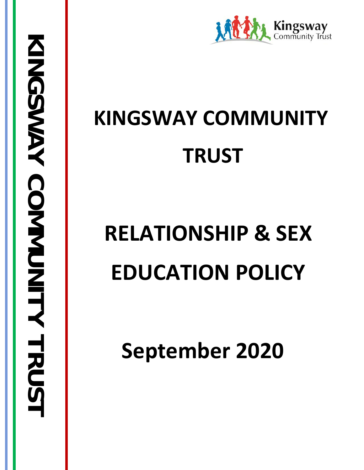

# **KINGSWAY COMMUNITY TRUST**

# **RELATIONSHIP & SEX EDUCATION POLICY**

**September 2020**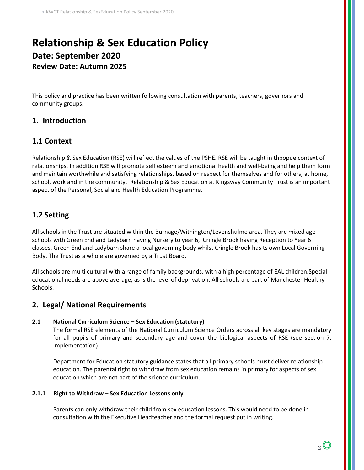# **Relationship & Sex Education Policy Date: September 2020 Review Date: Autumn 2025**

This policy and practice has been written following consultation with parents, teachers, governors and community groups.

# **1. Introduction**

# **1.1 Context**

Relationship & Sex Education (RSE) will reflect the values of the PSHE. RSE will be taught in thpopue context of relationships. In addition RSE will promote self esteem and emotional health and well-being and help them form and maintain worthwhile and satisfying relationships, based on respect for themselves and for others, at home, school, work and in the community. Relationship & Sex Education at Kingsway Community Trust is an important aspect of the Personal, Social and Health Education Programme.

# **1.2 Setting**

All schools in the Trust are situated within the Burnage/Withington/Levenshulme area. They are mixed age schools with Green End and Ladybarn having Nursery to year 6, Cringle Brook having Reception to Year 6 classes. Green End and Ladybarn share a local governing body whilst Cringle Brook hasits own Local Governing Body. The Trust as a whole are governed by a Trust Board.

All schools are multi cultural with a range of family backgrounds, with a high percentage of EAL children.Special educational needs are above average, as is the level of deprivation. All schools are part of Manchester Healthy Schools.

# **2. Legal/ National Requirements**

#### **2.1 National Curriculum Science – Sex Education (statutory)**

The formal RSE elements of the National Curriculum Science Orders across all key stages are mandatory for all pupils of primary and secondary age and cover the biological aspects of RSE (see section 7. Implementation)

Department for Education statutory guidance states that all primary schools must deliver relationship education. The parental right to withdraw from sex education remains in primary for aspects of sex education which are not part of the science curriculum.

#### **2.1.1 Right to Withdraw – Sex Education Lessons only**

Parents can only withdraw their child from sex education lessons. This would need to be done in consultation with the Executive Headteacher and the formal request put in writing.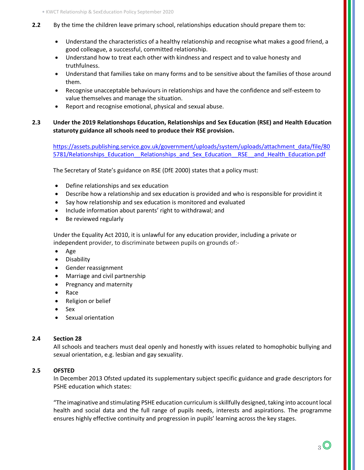- **2.2** By the time the children leave primary school, relationships education should prepare them to:
	- Understand the characteristics of a healthy relationship and recognise what makes a good friend, a good colleague, a successful, committed relationship.
	- Understand how to treat each other with kindness and respect and to value honesty and truthfulness.
	- Understand that families take on many forms and to be sensitive about the families of those around them.
	- Recognise unacceptable behaviours in relationships and have the confidence and self-esteem to value themselves and manage the situation.
	- Report and recognise emotional, physical and sexual abuse.

#### **2.3 Under the 2019 Relationshops Education, Relationships and Sex Education (RSE) and Health Education staturoty guidance all schools need to produce their RSE provision.**

[https://assets.publishing.service.gov.uk/government/uploads/system/uploads/attachment\\_data/file/80](https://assets.publishing.service.gov.uk/government/uploads/system/uploads/attachment_data/file/805781/Relationships_Education__Relationships_and_Sex_Education__RSE__and_Health_Education.pdf) 5781/Relationships Education Relationships and Sex Education RSE and Health Education.pdf

The Secretary of State's guidance on RSE (DfE 2000) states that a policy must:

- Define relationships and sex education
- Describe how a relationship and sex education is provided and who is responsible for providint it
- Say how relationship and sex education is monitored and evaluated
- Include information about parents' right to withdrawal; and
- Be reviewed regularly

Under the Equality Act 2010, it is unlawful for any education provider, including a private or independent provider, to discriminate between pupils on grounds of:-

- [Age](https://www.equalityhumanrights.com/en/equality-act/protected-characteristics#age)
- [Disability](https://www.equalityhumanrights.com/en/equality-act/protected-characteristics#disability)
- [Gender reassignment](https://www.equalityhumanrights.com/en/equality-act/protected-characteristics#reassignment)
- [Marriage and civil](https://www.equalityhumanrights.com/en/equality-act/protected-characteristics#marriage) partnership
- [Pregnancy and maternity](https://www.equalityhumanrights.com/en/equality-act/protected-characteristics#pregmat)
- [Race](https://www.equalityhumanrights.com/en/equality-act/protected-characteristics#race)
- [Religion or belief](https://www.equalityhumanrights.com/en/equality-act/protected-characteristics#rob)
- [Sex](https://www.equalityhumanrights.com/en/equality-act/protected-characteristics#sex)
- [Sexual orientation](https://www.equalityhumanrights.com/en/equality-act/protected-characteristics#lgb)

#### **2.4 Section 28**

All schools and teachers must deal openly and honestly with issues related to homophobic bullying and sexual orientation, e.g. lesbian and gay sexuality.

#### **2.5 OFSTED**

In December 2013 Ofsted updated its supplementary subject specific guidance and grade descriptors for PSHE education which states:

"The imaginative and stimulating PSHE education curriculum is skillfully designed, taking into account local health and social data and the full range of pupils needs, interests and aspirations. The programme ensures highly effective continuity and progression in pupils' learning across the key stages.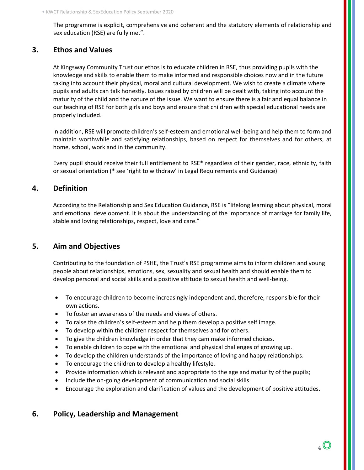The programme is explicit, comprehensive and coherent and the statutory elements of relationship and sex education (RSE) are fully met".

# **3. Ethos and Values**

At Kingsway Community Trust our ethos is to educate children in RSE, thus providing pupils with the knowledge and skills to enable them to make informed and responsible choices now and in the future taking into account their physical, moral and cultural development. We wish to create a climate where pupils and adults can talk honestly. Issues raised by children will be dealt with, taking into account the maturity of the child and the nature of the issue. We want to ensure there is a fair and equal balance in our teaching of RSE for both girls and boys and ensure that children with special educational needs are properly included.

In addition, RSE will promote children's self-esteem and emotional well-being and help them to form and maintain worthwhile and satisfying relationships, based on respect for themselves and for others, at home, school, work and in the community.

Every pupil should receive their full entitlement to RSE\* regardless of their gender, race, ethnicity, faith or sexual orientation (\* see 'right to withdraw' in Legal Requirements and Guidance)

# **4. Definition**

According to the Relationship and Sex Education Guidance, RSE is "lifelong learning about physical, moral and emotional development. It is about the understanding of the importance of marriage for family life, stable and loving relationships, respect, love and care."

# **5. Aim and Objectives**

Contributing to the foundation of PSHE, the Trust's RSE programme aims to inform children and young people about relationships, emotions, sex, sexuality and sexual health and should enable them to develop personal and social skills and a positive attitude to sexual health and well-being.

- To encourage children to become increasingly independent and, therefore, responsible for their own actions.
- To foster an awareness of the needs and views of others.
- To raise the children's self-esteem and help them develop a positive self image.
- To develop within the children respect for themselves and for others.
- To give the children knowledge in order that they cam make informed choices.
- To enable children to cope with the emotional and physical challenges of growing up.
- To develop the children understands of the importance of loving and happy relationships.
- To encourage the children to develop a healthy lifestyle.
- Provide information which is relevant and appropriate to the age and maturity of the pupils;
- Include the on-going development of communication and social skills
- Encourage the exploration and clarification of values and the development of positive attitudes.

# **6. Policy, Leadership and Management**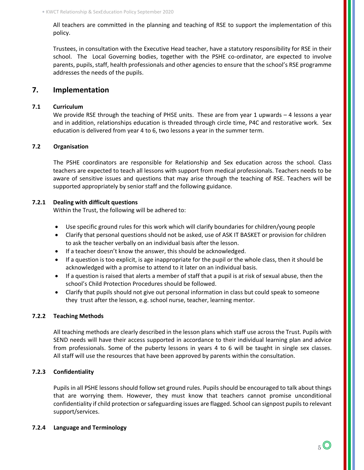All teachers are committed in the planning and teaching of RSE to support the implementation of this policy.

Trustees, in consultation with the Executive Head teacher, have a statutory responsibility for RSE in their school. The Local Governing bodies, together with the PSHE co-ordinator, are expected to involve parents, pupils, staff, health professionals and other agencies to ensure that the school's RSE programme addresses the needs of the pupils.

#### **7. Implementation**

#### **7.1 Curriculum**

We provide RSE through the teaching of PHSE units. These are from year 1 upwards – 4 lessons a year and in addition, relationships education is threaded through circle time, P4C and restorative work. Sex education is delivered from year 4 to 6, two lessons a year in the summer term.

#### **7.2 Organisation**

The PSHE coordinators are responsible for Relationship and Sex education across the school. Class teachers are expected to teach all lessons with support from medical professionals. Teachers needs to be aware of sensitive issues and questions that may arise through the teaching of RSE. Teachers will be supported appropriately by senior staff and the following guidance.

#### **7.2.1 Dealing with difficult questions**

Within the Trust, the following will be adhered to:

- Use specific ground rules for this work which will clarify boundaries for children/young people
- Clarify that personal questions should not be asked, use of ASK IT BASKET or provision for children to ask the teacher verbally on an individual basis after the lesson.
- If a teacher doesn't know the answer, this should be acknowledged.
- If a question is too explicit, is age inappropriate for the pupil or the whole class, then it should be acknowledged with a promise to attend to it later on an individual basis.
- If a question is raised that alerts a member of staff that a pupil is at risk of sexual abuse, then the school's Child Protection Procedures should be followed.
- Clarify that pupils should not give out personal information in class but could speak to someone they trust after the lesson, e.g. school nurse, teacher, learning mentor.

#### **7.2.2 Teaching Methods**

All teaching methods are clearly described in the lesson plans which staff use across the Trust. Pupils with SEND needs will have their access supported in accordance to their individual learning plan and advice from professionals. Some of the puberty lessons in years 4 to 6 will be taught in single sex classes. All staff will use the resources that have been approved by parents within the consultation.

#### **7.2.3 Confidentiality**

Pupils in all PSHE lessons should follow set ground rules. Pupils should be encouraged to talk about things that are worrying them. However, they must know that teachers cannot promise unconditional confidentiality if child protection or safeguarding issues are flagged. School can signpost pupils to relevant support/services.

#### **7.2.4 Language and Terminology**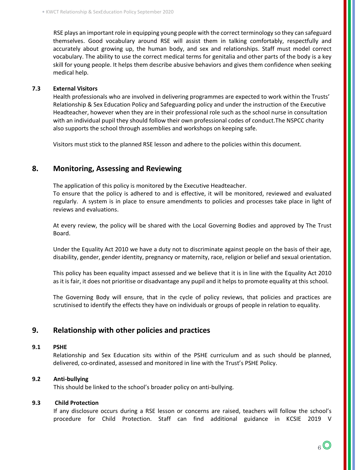RSE plays an important role in equipping young people with the correct terminology so they can safeguard themselves. Good vocabulary around RSE will assist them in talking comfortably, respectfully and accurately about growing up, the human body, and sex and relationships. Staff must model correct vocabulary. The ability to use the correct medical terms for genitalia and other parts of the body is a key skill for young people. It helps them describe abusive behaviors and gives them confidence when seeking medical help.

#### **7.3 External Visitors**

Health professionals who are involved in delivering programmes are expected to work within the Trusts' Relationship & Sex Education Policy and Safeguarding policy and under the instruction of the Executive Headteacher, however when they are in their professional role such as the school nurse in consultation with an individual pupil they should follow their own professional codes of conduct.The NSPCC charity also supports the school through assemblies and workshops on keeping safe.

Visitors must stick to the planned RSE lesson and adhere to the policies within this document.

# **8. Monitoring, Assessing and Reviewing**

The application of this policy is monitored by the Executive Headteacher. To ensure that the policy is adhered to and is effective, it will be monitored, reviewed and evaluated regularly. A system is in place to ensure amendments to policies and processes take place in light of reviews and evaluations.

At every review, the policy will be shared with the Local Governing Bodies and approved by The Trust Board.

Under the Equality Act 2010 we have a duty not to discriminate against people on the basis of their age, disability, gender, gender identity, pregnancy or maternity, race, religion or belief and sexual orientation.

This policy has been equality impact assessed and we believe that it is in line with the Equality Act 2010 as it is fair, it does not prioritise or disadvantage any pupil and it helps to promote equality at this school.

The Governing Body will ensure, that in the cycle of policy reviews, that policies and practices are scrutinised to identify the effects they have on individuals or groups of people in relation to equality.

# **9. Relationship with other policies and practices**

#### **9.1 PSHE**

Relationship and Sex Education sits within of the PSHE curriculum and as such should be planned, delivered, co-ordinated, assessed and monitored in line with the Trust's PSHE Policy.

#### **9.2 Anti-bullying**

This should be linked to the school's broader policy on anti-bullying.

#### **9.3 Child Protection**

If any disclosure occurs during a RSE lesson or concerns are raised, teachers will follow the school's procedure for Child Protection. Staff can find additional guidance in KCSIE 2019 V